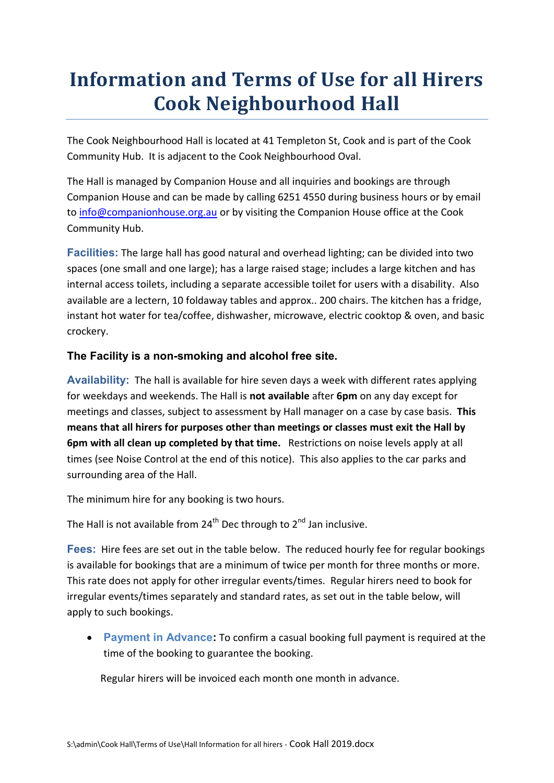# **Information and Terms of Use for all Hirers Cook Neighbourhood Hall**

The Cook Neighbourhood Hall is located at 41 Templeton St, Cook and is part of the Cook Community Hub. It is adjacent to the Cook Neighbourhood Oval.

The Hall is managed by Companion House and all inquiries and bookings are through Companion House and can be made by calling 6251 4550 during business hours or by email to [info@companionhouse.org.au](mailto:info@companionhouse.org.au) or by visiting the Companion House office at the Cook Community Hub.

**Facilities:** The large hall has good natural and overhead lighting; can be divided into two spaces (one small and one large); has a large raised stage; includes a large kitchen and has internal access toilets, including a separate accessible toilet for users with a disability. Also available are a lectern, 10 foldaway tables and approx.. 200 chairs. The kitchen has a fridge, instant hot water for tea/coffee, dishwasher, microwave, electric cooktop & oven, and basic crockery.

#### **The Facility is a non-smoking and alcohol free site.**

**Availability:** The hall is available for hire seven days a week with different rates applying for weekdays and weekends. The Hall is **not available** after **6pm** on any day except for meetings and classes, subject to assessment by Hall manager on a case by case basis. **This means that all hirers for purposes other than meetings or classes must exit the Hall by 6pm with all clean up completed by that time.** Restrictions on noise levels apply at all times (see Noise Control at the end of this notice). This also applies to the car parks and surrounding area of the Hall.

The minimum hire for any booking is two hours.

The Hall is not available from 24<sup>th</sup> Dec through to 2<sup>nd</sup> Jan inclusive.

**Fees:** Hire fees are set out in the table below. The reduced hourly fee for regular bookings is available for bookings that are a minimum of twice per month for three months or more. This rate does not apply for other irregular events/times. Regular hirers need to book for irregular events/times separately and standard rates, as set out in the table below, will apply to such bookings.

 **Payment in Advance:** To confirm a casual booking full payment is required at the time of the booking to guarantee the booking.

Regular hirers will be invoiced each month one month in advance.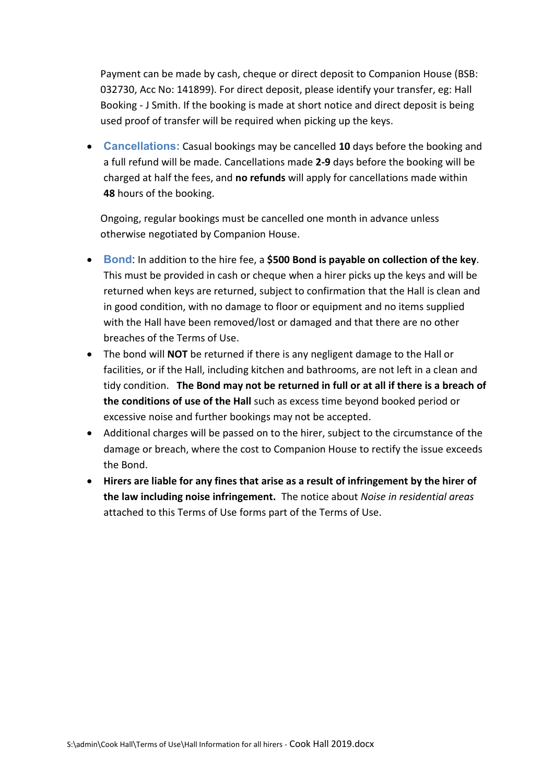Payment can be made by cash, cheque or direct deposit to Companion House (BSB: 032730, Acc No: 141899). For direct deposit, please identify your transfer, eg: Hall Booking - J Smith. If the booking is made at short notice and direct deposit is being used proof of transfer will be required when picking up the keys.

 **Cancellations:** Casual bookings may be cancelled **10** days before the booking and a full refund will be made. Cancellations made **2-9** days before the booking will be charged at half the fees, and **no refunds** will apply for cancellations made within **48** hours of the booking.

Ongoing, regular bookings must be cancelled one month in advance unless otherwise negotiated by Companion House.

- **Bond**: In addition to the hire fee, a **\$500 Bond is payable on collection of the key**. This must be provided in cash or cheque when a hirer picks up the keys and will be returned when keys are returned, subject to confirmation that the Hall is clean and in good condition, with no damage to floor or equipment and no items supplied with the Hall have been removed/lost or damaged and that there are no other breaches of the Terms of Use.
- The bond will **NOT** be returned if there is any negligent damage to the Hall or facilities, or if the Hall, including kitchen and bathrooms, are not left in a clean and tidy condition. **The Bond may not be returned in full or at all if there is a breach of the conditions of use of the Hall** such as excess time beyond booked period or excessive noise and further bookings may not be accepted.
- Additional charges will be passed on to the hirer, subject to the circumstance of the damage or breach, where the cost to Companion House to rectify the issue exceeds the Bond.
- **Hirers are liable for any fines that arise as a result of infringement by the hirer of the law including noise infringement.** The notice about *Noise in residential areas* attached to this Terms of Use forms part of the Terms of Use.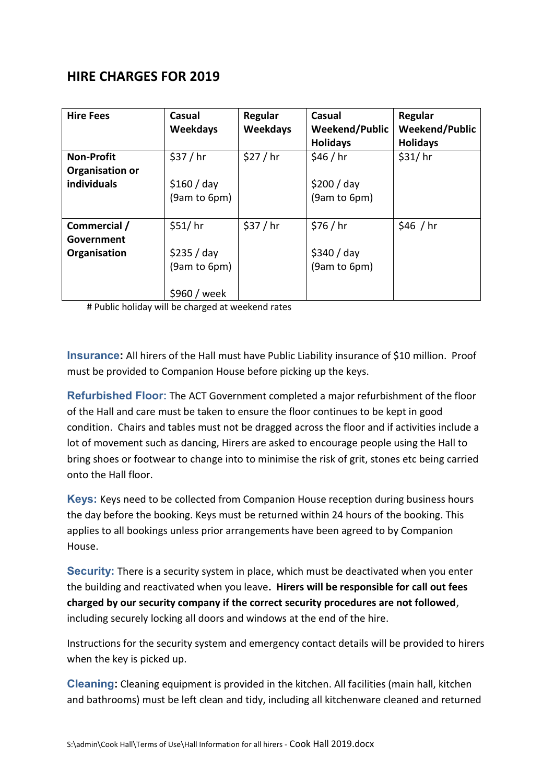### **HIRE CHARGES FOR 2019**

| <b>Hire Fees</b>  | Casual<br><b>Weekdays</b> | Regular<br><b>Weekdays</b> | Casual<br><b>Weekend/Public</b><br><b>Holidays</b> | Regular<br><b>Weekend/Public</b><br><b>Holidays</b> |
|-------------------|---------------------------|----------------------------|----------------------------------------------------|-----------------------------------------------------|
| <b>Non-Profit</b> | \$37/hr                   | \$27/hr                    | \$46 / hr                                          | \$31/hr                                             |
| Organisation or   |                           |                            |                                                    |                                                     |
| individuals       | \$160 / day               |                            | \$200 / day                                        |                                                     |
|                   | (9am to 6pm)              |                            | (9am to 6pm)                                       |                                                     |
|                   |                           |                            |                                                    |                                                     |
| Commercial /      | \$51/hr                   | \$37/hr                    | \$76 / hr                                          | \$46 / hr                                           |
| Government        |                           |                            |                                                    |                                                     |
| Organisation      | \$235 / day               |                            | \$340 / day                                        |                                                     |
|                   | (9am to 6pm)              |                            | (9am to 6pm)                                       |                                                     |
|                   | \$960 / week              |                            |                                                    |                                                     |

# Public holiday will be charged at weekend rates

**Insurance:** All hirers of the Hall must have Public Liability insurance of \$10 million. Proof must be provided to Companion House before picking up the keys.

**Refurbished Floor:** The ACT Government completed a major refurbishment of the floor of the Hall and care must be taken to ensure the floor continues to be kept in good condition. Chairs and tables must not be dragged across the floor and if activities include a lot of movement such as dancing, Hirers are asked to encourage people using the Hall to bring shoes or footwear to change into to minimise the risk of grit, stones etc being carried onto the Hall floor.

**Keys:** Keys need to be collected from Companion House reception during business hours the day before the booking. Keys must be returned within 24 hours of the booking. This applies to all bookings unless prior arrangements have been agreed to by Companion House.

**Security:** There is a security system in place, which must be deactivated when you enter the building and reactivated when you leave**. Hirers will be responsible for call out fees charged by our security company if the correct security procedures are not followed**, including securely locking all doors and windows at the end of the hire.

Instructions for the security system and emergency contact details will be provided to hirers when the key is picked up.

**Cleaning:** Cleaning equipment is provided in the kitchen. All facilities (main hall, kitchen and bathrooms) must be left clean and tidy, including all kitchenware cleaned and returned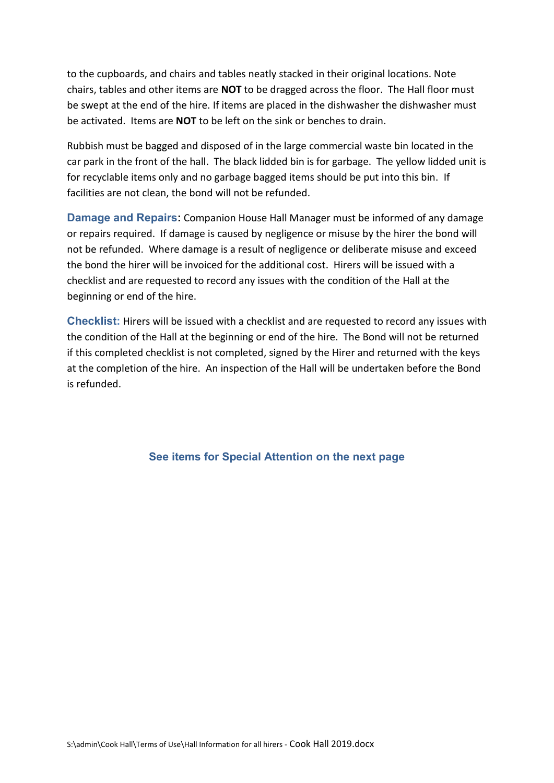to the cupboards, and chairs and tables neatly stacked in their original locations. Note chairs, tables and other items are **NOT** to be dragged across the floor. The Hall floor must be swept at the end of the hire. If items are placed in the dishwasher the dishwasher must be activated. Items are **NOT** to be left on the sink or benches to drain.

Rubbish must be bagged and disposed of in the large commercial waste bin located in the car park in the front of the hall. The black lidded bin is for garbage. The yellow lidded unit is for recyclable items only and no garbage bagged items should be put into this bin. If facilities are not clean, the bond will not be refunded.

**Damage and Repairs:** Companion House Hall Manager must be informed of any damage or repairs required. If damage is caused by negligence or misuse by the hirer the bond will not be refunded. Where damage is a result of negligence or deliberate misuse and exceed the bond the hirer will be invoiced for the additional cost. Hirers will be issued with a checklist and are requested to record any issues with the condition of the Hall at the beginning or end of the hire.

**Checklist:** Hirers will be issued with a checklist and are requested to record any issues with the condition of the Hall at the beginning or end of the hire. The Bond will not be returned if this completed checklist is not completed, signed by the Hirer and returned with the keys at the completion of the hire. An inspection of the Hall will be undertaken before the Bond is refunded.

**See items for Special Attention on the next page**